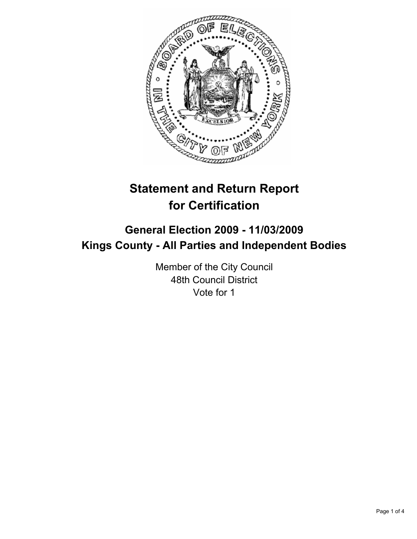

# **Statement and Return Report for Certification**

# **General Election 2009 - 11/03/2009 Kings County - All Parties and Independent Bodies**

Member of the City Council 48th Council District Vote for 1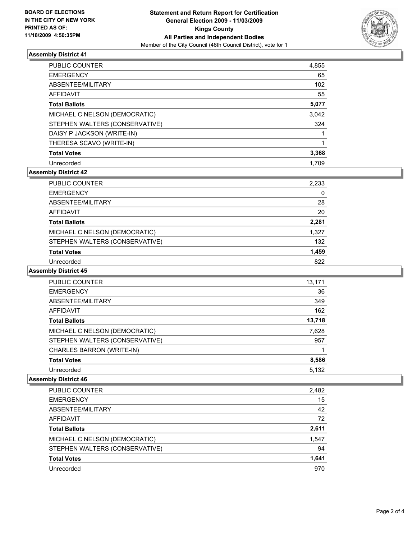

## **Assembly District 41**

| <b>PUBLIC COUNTER</b>          | 4,855 |
|--------------------------------|-------|
| <b>EMERGENCY</b>               | 65    |
| ABSENTEE/MILITARY              | 102   |
| AFFIDAVIT                      | 55    |
| <b>Total Ballots</b>           | 5,077 |
| MICHAEL C NELSON (DEMOCRATIC)  | 3,042 |
| STEPHEN WALTERS (CONSERVATIVE) | 324   |
| DAISY P JACKSON (WRITE-IN)     |       |
| THERESA SCAVO (WRITE-IN)       | 1     |
| <b>Total Votes</b>             | 3,368 |
| Unrecorded                     | 1.709 |

# **Assembly District 42**

| PUBLIC COUNTER                 | 2,233 |
|--------------------------------|-------|
| <b>EMERGENCY</b>               | 0     |
| ABSENTEE/MILITARY              | 28    |
| <b>AFFIDAVIT</b>               | 20    |
| <b>Total Ballots</b>           | 2,281 |
| MICHAEL C NELSON (DEMOCRATIC)  | 1,327 |
| STEPHEN WALTERS (CONSERVATIVE) | 132   |
| <b>Total Votes</b>             | 1,459 |
| Unrecorded                     | 822   |

### **Assembly District 45**

| PUBLIC COUNTER                 | 13.171 |
|--------------------------------|--------|
| <b>EMERGENCY</b>               | 36     |
| ABSENTEE/MILITARY              | 349    |
| <b>AFFIDAVIT</b>               | 162    |
| <b>Total Ballots</b>           | 13,718 |
| MICHAEL C NELSON (DEMOCRATIC)  | 7,628  |
| STEPHEN WALTERS (CONSERVATIVE) | 957    |
| CHARLES BARRON (WRITE-IN)      |        |
| <b>Total Votes</b>             | 8,586  |
| Unrecorded                     | 5,132  |
|                                |        |

#### **Assembly District 46**

| <b>PUBLIC COUNTER</b>          | 2,482 |
|--------------------------------|-------|
| <b>EMERGENCY</b>               | 15    |
| ABSENTEE/MILITARY              | 42    |
| <b>AFFIDAVIT</b>               | 72    |
| <b>Total Ballots</b>           | 2,611 |
| MICHAEL C NELSON (DEMOCRATIC)  | 1,547 |
| STEPHEN WALTERS (CONSERVATIVE) | 94    |
| <b>Total Votes</b>             | 1.641 |
| Unrecorded                     | 970   |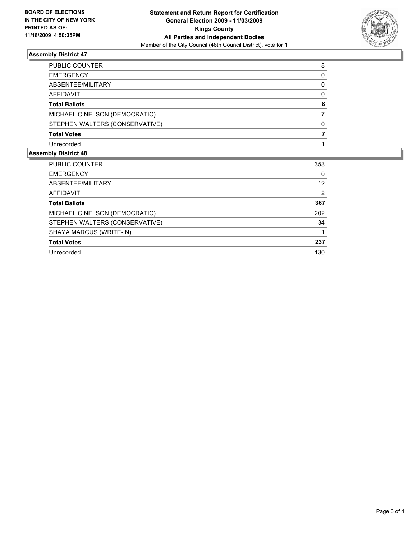

## **Assembly District 47**

| PUBLIC COUNTER                 | 8 |
|--------------------------------|---|
| <b>EMERGENCY</b>               | 0 |
| ABSENTEE/MILITARY              | 0 |
| <b>AFFIDAVIT</b>               | 0 |
| <b>Total Ballots</b>           | 8 |
| MICHAEL C NELSON (DEMOCRATIC)  |   |
| STEPHEN WALTERS (CONSERVATIVE) | 0 |
| <b>Total Votes</b>             |   |
| Unrecorded                     |   |

# **Assembly District 48**

| PUBLIC COUNTER                 | 353 |
|--------------------------------|-----|
| <b>EMERGENCY</b>               | 0   |
| ABSENTEE/MILITARY              | 12  |
| <b>AFFIDAVIT</b>               | 2   |
| <b>Total Ballots</b>           | 367 |
| MICHAEL C NELSON (DEMOCRATIC)  | 202 |
| STEPHEN WALTERS (CONSERVATIVE) | 34  |
| SHAYA MARCUS (WRITE-IN)        |     |
| <b>Total Votes</b>             | 237 |
| Unrecorded                     | 130 |